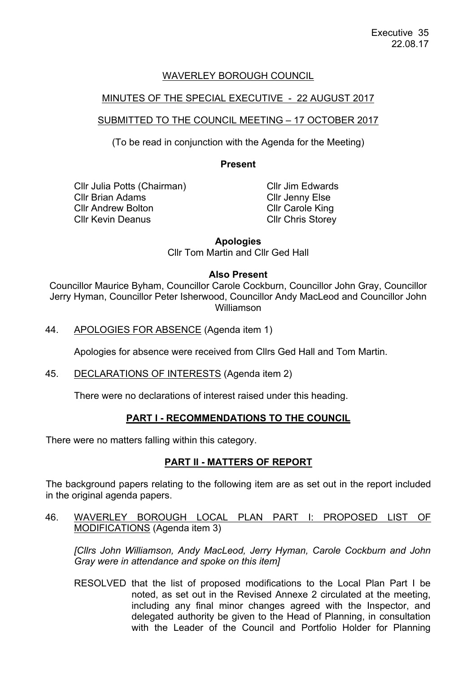# WAVERLEY BOROUGH COUNCIL

# MINUTES OF THE SPECIAL EXECUTIVE - 22 AUGUST 2017

# SUBMITTED TO THE COUNCIL MEETING – 17 OCTOBER 2017

(To be read in conjunction with the Agenda for the Meeting)

#### **Present**

Cllr Julia Potts (Chairman) Cllr Brian Adams Cllr Andrew Bolton Cllr Kevin Deanus

Cllr Jim Edwards Cllr Jenny Else Cllr Carole King Cllr Chris Storey

**Apologies**

Cllr Tom Martin and Cllr Ged Hall

#### **Also Present**

Councillor Maurice Byham, Councillor Carole Cockburn, Councillor John Gray, Councillor Jerry Hyman, Councillor Peter Isherwood, Councillor Andy MacLeod and Councillor John Williamson

44. APOLOGIES FOR ABSENCE (Agenda item 1)

Apologies for absence were received from Cllrs Ged Hall and Tom Martin.

45. DECLARATIONS OF INTERESTS (Agenda item 2)

There were no declarations of interest raised under this heading.

### **PART I - RECOMMENDATIONS TO THE COUNCIL**

There were no matters falling within this category.

### **PART II - MATTERS OF REPORT**

The background papers relating to the following item are as set out in the report included in the original agenda papers.

46. WAVERLEY BOROUGH LOCAL PLAN PART I: PROPOSED LIST OF MODIFICATIONS (Agenda item 3)

*[Cllrs John Williamson, Andy MacLeod, Jerry Hyman, Carole Cockburn and John Gray were in attendance and spoke on this item]*

RESOLVED that the list of proposed modifications to the Local Plan Part I be noted, as set out in the Revised Annexe 2 circulated at the meeting, including any final minor changes agreed with the Inspector, and delegated authority be given to the Head of Planning, in consultation with the Leader of the Council and Portfolio Holder for Planning